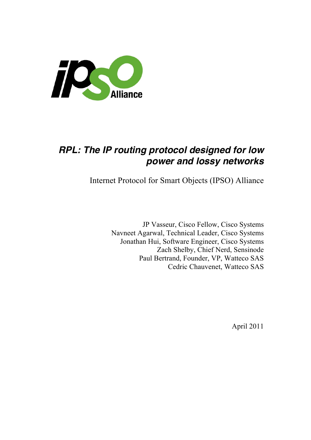

# *RPL: The IP routing protocol designed for low power and lossy networks*

Internet Protocol for Smart Objects (IPSO) Alliance

JP Vasseur, Cisco Fellow, Cisco Systems Navneet Agarwal, Technical Leader, Cisco Systems Jonathan Hui, Software Engineer, Cisco Systems Zach Shelby, Chief Nerd, Sensinode Paul Bertrand, Founder, VP, Watteco SAS Cedric Chauvenet, Watteco SAS

April 2011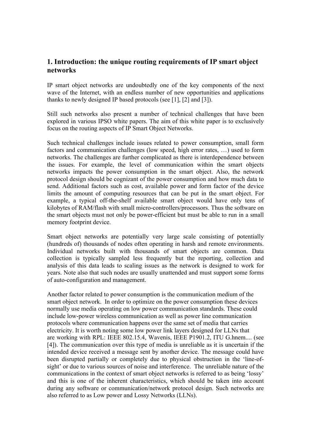# **1. Introduction: the unique routing requirements of IP smart object networks**

IP smart object networks are undoubtedly one of the key components of the next wave of the Internet, with an endless number of new opportunities and applications thanks to newly designed IP based protocols (see [1], [2] and [3]).

Still such networks also present a number of technical challenges that have been explored in various IPSO white papers. The aim of this white paper is to exclusively focus on the routing aspects of IP Smart Object Networks.

Such technical challenges include issues related to power consumption, small form factors and communication challenges (low speed, high error rates, …) used to form networks. The challenges are further complicated as there is interdependence between the issues. For example, the level of communication within the smart objects networks impacts the power consumption in the smart object. Also, the network protocol design should be cognizant of the power consumption and how much data to send. Additional factors such as cost, available power and form factor of the device limits the amount of computing resources that can be put in the smart object. For example, a typical off-the-shelf available smart object would have only tens of kilobytes of RAM/flash with small micro-controllers/processors. Thus the software on the smart objects must not only be power-efficient but must be able to run in a small memory footprint device.

Smart object networks are potentially very large scale consisting of potentially (hundreds of) thousands of nodes often operating in harsh and remote environments. Individual networks built with thousands of smart objects are common. Data collection is typically sampled less frequently but the reporting, collection and analysis of this data leads to scaling issues as the network is designed to work for years. Note also that such nodes are usually unattended and must support some forms of auto-configuration and management.

Another factor related to power consumption is the communication medium of the smart object network. In order to optimize on the power consumption these devices normally use media operating on low power communication standards. These could include low-power wireless communication as well as power line communication protocols where communication happens over the same set of media that carries electricity. It is worth noting some low power link layers designed for LLNs that are working with RPL: IEEE 802.15.4, Wavenis, IEEE P1901.2, ITU G.hnem.... (see [4]). The communication over this type of media is unreliable as it is uncertain if the intended device received a message sent by another device. The message could have been disrupted partially or completely due to physical obstruction in the 'line-ofsight' or due to various sources of noise and interference. The unreliable nature of the communications in the context of smart object networks is referred to as being 'lossy' and this is one of the inherent characteristics, which should be taken into account during any software or communication/network protocol design. Such networks are also referred to as Low power and Lossy Networks (LLNs).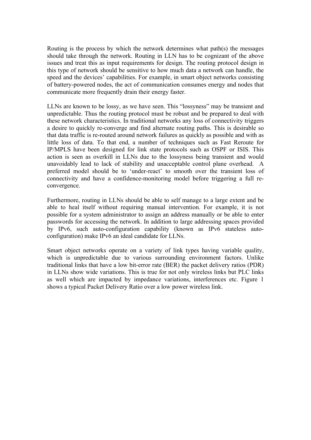Routing is the process by which the network determines what path(s) the messages should take through the network. Routing in LLN has to be cognizant of the above issues and treat this as input requirements for design. The routing protocol design in this type of network should be sensitive to how much data a network can handle, the speed and the devices' capabilities. For example, in smart object networks consisting of battery-powered nodes, the act of communication consumes energy and nodes that communicate more frequently drain their energy faster.

LLNs are known to be lossy, as we have seen. This "lossyness" may be transient and unpredictable. Thus the routing protocol must be robust and be prepared to deal with these network characteristics. In traditional networks any loss of connectivity triggers a desire to quickly re-converge and find alternate routing paths. This is desirable so that data traffic is re-routed around network failures as quickly as possible and with as little loss of data. To that end, a number of techniques such as Fast Reroute for IP/MPLS have been designed for link state protocols such as OSPF or ISIS. This action is seen as overkill in LLNs due to the lossyness being transient and would unavoidably lead to lack of stability and unacceptable control plane overhead. A preferred model should be to 'under-react' to smooth over the transient loss of connectivity and have a confidence-monitoring model before triggering a full reconvergence.

Furthermore, routing in LLNs should be able to self manage to a large extent and be able to heal itself without requiring manual intervention. For example, it is not possible for a system administrator to assign an address manually or be able to enter passwords for accessing the network. In addition to large addressing spaces provided by IPv6, such auto-configuration capability (known as IPv6 stateless autoconfiguration) make IPv6 an ideal candidate for LLNs.

Smart object networks operate on a variety of link types having variable quality, which is unpredictable due to various surrounding environment factors. Unlike traditional links that have a low bit-error rate (BER) the packet delivery ratios (PDR) in LLNs show wide variations. This is true for not only wireless links but PLC links as well which are impacted by impedance variations, interferences etc. Figure 1 shows a typical Packet Delivery Ratio over a low power wireless link.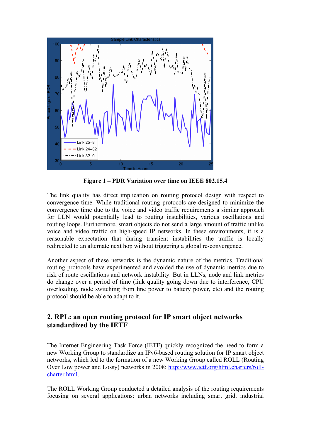

**Figure 1 – PDR Variation over time on IEEE 802.15.4**

The link quality has direct implication on routing protocol design with respect to convergence time. While traditional routing protocols are designed to minimize the convergence time due to the voice and video traffic requirements a similar approach for LLN would potentially lead to routing instabilities, various oscillations and routing loops. Furthermore, smart objects do not send a large amount of traffic unlike voice and video traffic on high-speed IP networks. In these environments, it is a reasonable expectation that during transient instabilities the traffic is locally redirected to an alternate next hop without triggering a global re-convergence.

Another aspect of these networks is the dynamic nature of the metrics. Traditional routing protocols have experimented and avoided the use of dynamic metrics due to risk of route oscillations and network instability. But in LLNs, node and link metrics do change over a period of time (link quality going down due to interference, CPU overloading, node switching from line power to battery power, etc) and the routing protocol should be able to adapt to it.

# **2. RPL: an open routing protocol for IP smart object networks standardized by the IETF**

The Internet Engineering Task Force (IETF) quickly recognized the need to form a new Working Group to standardize an IPv6-based routing solution for IP smart object networks, which led to the formation of a new Working Group called ROLL (Routing Over Low power and Lossy) networks in 2008: http://www.ietf.org/html.charters/rollcharter.html.

The ROLL Working Group conducted a detailed analysis of the routing requirements focusing on several applications: urban networks including smart grid, industrial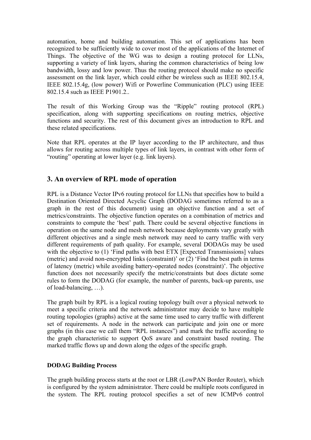automation, home and building automation. This set of applications has been recognized to be sufficiently wide to cover most of the applications of the Internet of Things. The objective of the WG was to design a routing protocol for LLNs, supporting a variety of link layers, sharing the common characteristics of being low bandwidth, lossy and low power. Thus the routing protocol should make no specific assessment on the link layer, which could either be wireless such as IEEE 802.15.4, IEEE 802.15.4g, (low power) Wifi or Powerline Communication (PLC) using IEEE 802.15.4 such as IEEE P1901.2..

The result of this Working Group was the "Ripple" routing protocol (RPL) specification, along with supporting specifications on routing metrics, objective functions and security. The rest of this document gives an introduction to RPL and these related specifications.

Note that RPL operates at the IP layer according to the IP architecture, and thus allows for routing across multiple types of link layers, in contrast with other form of "routing" operating at lower layer (e.g. link layers).

### **3. An overview of RPL mode of operation**

RPL is a Distance Vector IPv6 routing protocol for LLNs that specifies how to build a Destination Oriented Directed Acyclic Graph (DODAG sometimes referred to as a graph in the rest of this document) using an objective function and a set of metrics/constraints. The objective function operates on a combination of metrics and constraints to compute the 'best' path. There could be several objective functions in operation on the same node and mesh network because deployments vary greatly with different objectives and a single mesh network may need to carry traffic with very different requirements of path quality. For example, several DODAGs may be used with the objective to (1) 'Find paths with best ETX [Expected Transmissions] values (metric) and avoid non-encrypted links (constraint)' or (2) 'Find the best path in terms of latency (metric) while avoiding battery-operated nodes (constraint)'. The objective function does not necessarily specify the metric/constraints but does dictate some rules to form the DODAG (for example, the number of parents, back-up parents, use of load-balancing, …).

The graph built by RPL is a logical routing topology built over a physical network to meet a specific criteria and the network administrator may decide to have multiple routing topologies (graphs) active at the same time used to carry traffic with different set of requirements. A node in the network can participate and join one or more graphs (in this case we call them "RPL instances") and mark the traffic according to the graph characteristic to support QoS aware and constraint based routing. The marked traffic flows up and down along the edges of the specific graph.

#### **DODAG Building Process**

The graph building process starts at the root or LBR (LowPAN Border Router), which is configured by the system administrator. There could be multiple roots configured in the system. The RPL routing protocol specifies a set of new ICMPv6 control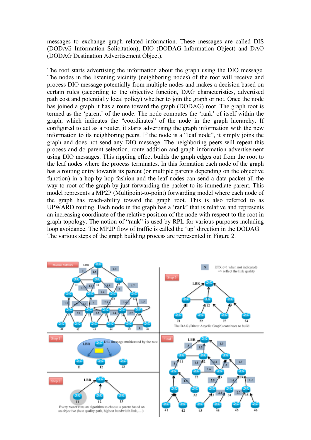messages to exchange graph related information. These messages are called DIS (DODAG Information Solicitation), DIO (DODAG Information Object) and DAO (DODAG Destination Advertisement Object).

The root starts advertising the information about the graph using the DIO message. The nodes in the listening vicinity (neighboring nodes) of the root will receive and process DIO message potentially from multiple nodes and makes a decision based on certain rules (according to the objective function, DAG characteristics, advertised path cost and potentially local policy) whether to join the graph or not. Once the node has joined a graph it has a route toward the graph (DODAG) root. The graph root is termed as the 'parent' of the node. The node computes the 'rank' of itself within the graph, which indicates the "coordinates" of the node in the graph hierarchy. If configured to act as a router, it starts advertising the graph information with the new information to its neighboring peers. If the node is a "leaf node", it simply joins the graph and does not send any DIO message. The neighboring peers will repeat this process and do parent selection, route addition and graph information advertisement using DIO messages. This rippling effect builds the graph edges out from the root to the leaf nodes where the process terminates. In this formation each node of the graph has a routing entry towards its parent (or multiple parents depending on the objective function) in a hop-by-hop fashion and the leaf nodes can send a data packet all the way to root of the graph by just forwarding the packet to its immediate parent. This model represents a MP2P (Multipoint-to-point) forwarding model where each node of the graph has reach-ability toward the graph root. This is also referred to as UPWARD routing. Each node in the graph has a 'rank' that is relative and represents an increasing coordinate of the relative position of the node with respect to the root in graph topology. The notion of "rank" is used by RPL for various purposes including loop avoidance. The MP2P flow of traffic is called the 'up' direction in the DODAG. The various steps of the graph building process are represented in Figure 2.

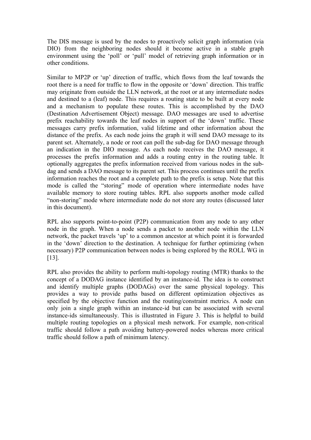The DIS message is used by the nodes to proactively solicit graph information (via DIO) from the neighboring nodes should it become active in a stable graph environment using the 'poll' or 'pull' model of retrieving graph information or in other conditions.

Similar to MP2P or 'up' direction of traffic, which flows from the leaf towards the root there is a need for traffic to flow in the opposite or 'down' direction. This traffic may originate from outside the LLN network, at the root or at any intermediate nodes and destined to a (leaf) node. This requires a routing state to be built at every node and a mechanism to populate these routes. This is accomplished by the DAO (Destination Advertisement Object) message. DAO messages are used to advertise prefix reachability towards the leaf nodes in support of the 'down' traffic. These messages carry prefix information, valid lifetime and other information about the distance of the prefix. As each node joins the graph it will send DAO message to its parent set. Alternately, a node or root can poll the sub-dag for DAO message through an indication in the DIO message. As each node receives the DAO message, it processes the prefix information and adds a routing entry in the routing table. It optionally aggregates the prefix information received from various nodes in the subdag and sends a DAO message to its parent set. This process continues until the prefix information reaches the root and a complete path to the prefix is setup. Note that this mode is called the "storing" mode of operation where intermediate nodes have available memory to store routing tables. RPL also supports another mode called "non-storing" mode where intermediate node do not store any routes (discussed later in this document).

RPL also supports point-to-point (P2P) communication from any node to any other node in the graph. When a node sends a packet to another node within the LLN network, the packet travels 'up' to a common ancestor at which point it is forwarded in the 'down' direction to the destination. A technique for further optimizing (when necessary) P2P communication between nodes is being explored by the ROLL WG in [13].

RPL also provides the ability to perform multi-topology routing (MTR) thanks to the concept of a DODAG instance identified by an instance-id. The idea is to construct and identify multiple graphs (DODAGs) over the same physical topology. This provides a way to provide paths based on different optimization objectives as specified by the objective function and the routing/constraint metrics. A node can only join a single graph within an instance-id but can be associated with several instance-ids simultaneously. This is illustrated in Figure 3. This is helpful to build multiple routing topologies on a physical mesh network. For example, non-critical traffic should follow a path avoiding battery-powered nodes whereas more critical traffic should follow a path of minimum latency.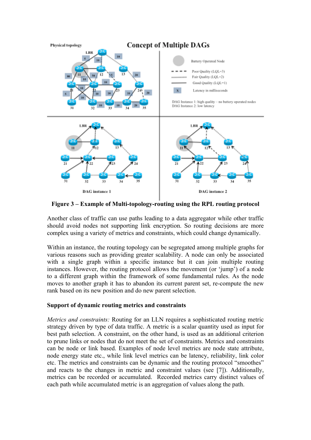

**Figure 3 – Example of Multi-topology-routing using the RPL routing protocol**

Another class of traffic can use paths leading to a data aggregator while other traffic should avoid nodes not supporting link encryption. So routing decisions are more complex using a variety of metrics and constraints, which could change dynamically.

Within an instance, the routing topology can be segregated among multiple graphs for various reasons such as providing greater scalability. A node can only be associated with a single graph within a specific instance but it can join multiple routing instances. However, the routing protocol allows the movement (or 'jump') of a node to a different graph within the framework of some fundamental rules. As the node moves to another graph it has to abandon its current parent set, re-compute the new rank based on its new position and do new parent selection.

#### **Support of dynamic routing metrics and constraints**

*Metrics and constraints:* Routing for an LLN requires a sophisticated routing metric strategy driven by type of data traffic. A metric is a scalar quantity used as input for best path selection. A constraint, on the other hand, is used as an additional criterion to prune links or nodes that do not meet the set of constraints. Metrics and constraints can be node or link based. Examples of node level metrics are node state attribute, node energy state etc., while link level metrics can be latency, reliability, link color etc. The metrics and constraints can be dynamic and the routing protocol "smoothes" and reacts to the changes in metric and constraint values (see [7]). Additionally, metrics can be recorded or accumulated. Recorded metrics carry distinct values of each path while accumulated metric is an aggregation of values along the path.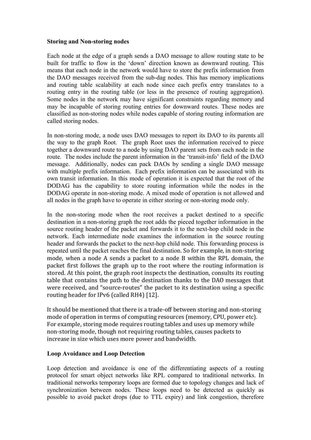#### **Storing and Non-storing nodes**

Each node at the edge of a graph sends a DAO message to allow routing state to be built for traffic to flow in the 'down' direction known as downward routing. This means that each node in the network would have to store the prefix information from the DAO messages received from the sub-dag nodes. This has memory implications and routing table scalability at each node since each prefix entry translates to a routing entry in the routing table (or less in the presence of routing aggregation). Some nodes in the network may have significant constraints regarding memory and may be incapable of storing routing entries for downward routes. These nodes are classified as non-storing nodes while nodes capable of storing routing information are called storing nodes.

In non-storing mode, a node uses DAO messages to report its DAO to its parents all the way to the graph Root. The graph Root uses the information received to piece together a downward route to a node by using DAO parent sets from each node in the route. The nodes include the parent information in the 'transit-info' field of the DAO message. Additionally, nodes can pack DAOs by sending a single DAO message with multiple prefix information. Each prefix information can be associated with its own transit information. In this mode of operation it is expected that the root of the DODAG has the capability to store routing information while the nodes in the DODAG operate in non-storing mode. A mixed mode of operation is not allowed and all nodes in the graph have to operate in either storing or non-storing mode only.

In the non-storing mode when the root receives a packet destined to a specific destination in a non-storing graph the root adds the pieced together information in the source routing header of the packet and forwards it to the next-hop child node in the network. Each intermediate node examines the information in the source routing header and forwards the packet to the next-hop child node. This forwarding process is repeated until the packet reaches the final destination. So for example, in non-storing mode, when a node A sends a packet to a node B within the RPL domain, the packet first follows the graph up to the root where the routing information is stored. At this point, the graph root inspects the destination, consults its routing table that contains the path to the destination thanks to the DAO messages that were received, and "source-routes" the packet to its destination using a specific routing header for IPv6 (called RH4) [12].

It should be mentioned that there is a trade-off between storing and non-storing mode of operation in terms of computing resources (memory, CPU, power etc). For example, storing mode requires routing tables and uses up memory while non-storing mode, though not requiring routing tables, causes packets to increase in size which uses more power and bandwidth.

#### **Loop Avoidance and Loop Detection**

Loop detection and avoidance is one of the differentiating aspects of a routing protocol for smart object networks like RPL compared to traditional networks. In traditional networks temporary loops are formed due to topology changes and lack of synchronization between nodes. These loops need to be detected as quickly as possible to avoid packet drops (due to TTL expiry) and link congestion, therefore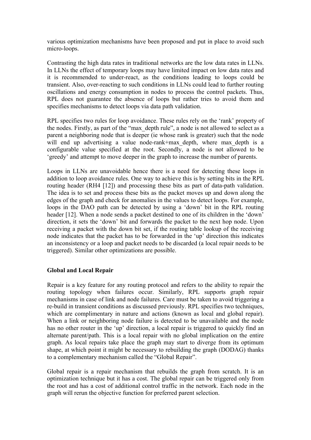various optimization mechanisms have been proposed and put in place to avoid such micro-loops.

Contrasting the high data rates in traditional networks are the low data rates in LLNs. In LLNs the effect of temporary loops may have limited impact on low data rates and it is recommended to under-react, as the conditions leading to loops could be transient. Also, over-reacting to such conditions in LLNs could lead to further routing oscillations and energy consumption in nodes to process the control packets. Thus, RPL does not guarantee the absence of loops but rather tries to avoid them and specifies mechanisms to detect loops via data path validation.

RPL specifies two rules for loop avoidance. These rules rely on the 'rank' property of the nodes. Firstly, as part of the "max\_depth rule", a node is not allowed to select as a parent a neighboring node that is deeper (ie whose rank is greater) such that the node will end up advertising a value node-rank+max depth, where max depth is a configurable value specified at the root. Secondly, a node is not allowed to be 'greedy' and attempt to move deeper in the graph to increase the number of parents.

Loops in LLNs are unavoidable hence there is a need for detecting these loops in addition to loop avoidance rules. One way to achieve this is by setting bits in the RPL routing header (RH4 [12]) and processing these bits as part of data-path validation. The idea is to set and process these bits as the packet moves up and down along the edges of the graph and check for anomalies in the values to detect loops. For example, loops in the DAO path can be detected by using a 'down' bit in the RPL routing header [12]. When a node sends a packet destined to one of its children in the 'down' direction, it sets the 'down' bit and forwards the packet to the next hop node. Upon receiving a packet with the down bit set, if the routing table lookup of the receiving node indicates that the packet has to be forwarded in the 'up' direction this indicates an inconsistency or a loop and packet needs to be discarded (a local repair needs to be triggered). Similar other optimizations are possible.

#### **Global and Local Repair**

Repair is a key feature for any routing protocol and refers to the ability to repair the routing topology when failures occur. Similarly, RPL supports graph repair mechanisms in case of link and node failures. Care must be taken to avoid triggering a re-build in transient conditions as discussed previously. RPL specifies two techniques, which are complimentary in nature and actions (known as local and global repair). When a link or neighboring node failure is detected to be unavailable and the node has no other router in the 'up' direction, a local repair is triggered to quickly find an alternate parent/path. This is a local repair with no global implication on the entire graph. As local repairs take place the graph may start to diverge from its optimum shape, at which point it might be necessary to rebuilding the graph (DODAG) thanks to a complementary mechanism called the "Global Repair".

Global repair is a repair mechanism that rebuilds the graph from scratch. It is an optimization technique but it has a cost. The global repair can be triggered only from the root and has a cost of additional control traffic in the network. Each node in the graph will rerun the objective function for preferred parent selection.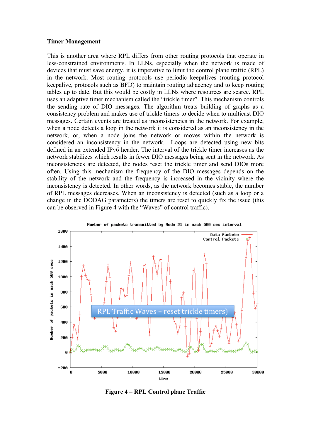#### **Timer Management**

This is another area where RPL differs from other routing protocols that operate in less-constrained environments. In LLNs, especially when the network is made of devices that must save energy, it is imperative to limit the control plane traffic (RPL) in the network. Most routing protocols use periodic keepalives (routing protocol keepalive, protocols such as BFD) to maintain routing adjacency and to keep routing tables up to date. But this would be costly in LLNs where resources are scarce. RPL uses an adaptive timer mechanism called the "trickle timer". This mechanism controls the sending rate of DIO messages. The algorithm treats building of graphs as a consistency problem and makes use of trickle timers to decide when to multicast DIO messages. Certain events are treated as inconsistencies in the network. For example, when a node detects a loop in the network it is considered as an inconsistency in the network, or, when a node joins the network or moves within the network is considered an inconsistency in the network. Loops are detected using new bits defined in an extended IPv6 header. The interval of the trickle timer increases as the network stabilizes which results in fewer DIO messages being sent in the network. As inconsistencies are detected, the nodes reset the trickle timer and send DIOs more often. Using this mechanism the frequency of the DIO messages depends on the stability of the network and the frequency is increased in the vicinity where the inconsistency is detected. In other words, as the network becomes stable, the number of RPL messages decreases. When an inconsistency is detected (such as a loop or a change in the DODAG parameters) the timers are reset to quickly fix the issue (this can be observed in Figure 4 with the "Waves" of control traffic).



**Figure 4 – RPL Control plane Traffic**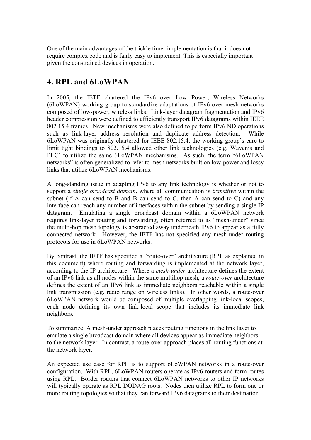One of the main advantages of the trickle timer implementation is that it does not require complex code and is fairly easy to implement. This is especially important given the constrained devices in operation.

# **4. RPL and 6LoWPAN**

In 2005, the IETF chartered the IPv6 over Low Power, Wireless Networks (6LoWPAN) working group to standardize adaptations of IPv6 over mesh networks composed of low-power, wireless links. Link-layer datagram fragmentation and IPv6 header compression were defined to efficiently transport IPv6 datagrams within IEEE 802.15.4 frames. New mechanisms were also defined to perform IPv6 ND operations such as link-layer address resolution and duplicate address detection. While 6LoWPAN was originally chartered for IEEE 802.15.4, the working group's care to limit tight bindings to 802.15.4 allowed other link technologies (e.g. Wavenis and PLC) to utilize the same 6LoWPAN mechanisms. As such, the term "6LoWPAN networks" is often generalized to refer to mesh networks built on low-power and lossy links that utilize 6LoWPAN mechanisms.

A long-standing issue in adapting IPv6 to any link technology is whether or not to support a *single broadcast domain*, where all communication is *transitive* within the subnet (if A can send to B and B can send to C, then A can send to C) and any interface can reach any number of interfaces within the subnet by sending a single IP datagram. Emulating a single broadcast domain within a 6LoWPAN network requires link-layer routing and forwarding, often referred to as "mesh-under" since the multi-hop mesh topology is abstracted away underneath IPv6 to appear as a fully connected network. However, the IETF has not specified any mesh-under routing protocols for use in 6LoWPAN networks.

By contrast, the IETF has specified a "route-over" architecture (RPL as explained in this document) where routing and forwarding is implemented at the network layer, according to the IP architecture. Where a *mesh-under* architecture defines the extent of an IPv6 link as all nodes within the same multihop mesh, a *route-over* architecture defines the extent of an IPv6 link as immediate neighbors reachable within a single link transmission (e.g. radio range on wireless links). In other words, a route-over 6LoWPAN network would be composed of multiple overlapping link-local scopes, each node defining its own link-local scope that includes its immediate link neighbors.

To summarize: A mesh-under approach places routing functions in the link layer to emulate a single broadcast domain where all devices appear as immediate neighbors to the network layer. In contrast, a route-over approach places all routing functions at the network layer.

An expected use case for RPL is to support 6LoWPAN networks in a route-over configuration. With RPL, 6LoWPAN routers operate as IPv6 routers and form routes using RPL. Border routers that connect 6LoWPAN networks to other IP networks will typically operate as RPL DODAG roots. Nodes then utilize RPL to form one or more routing topologies so that they can forward IPv6 datagrams to their destination.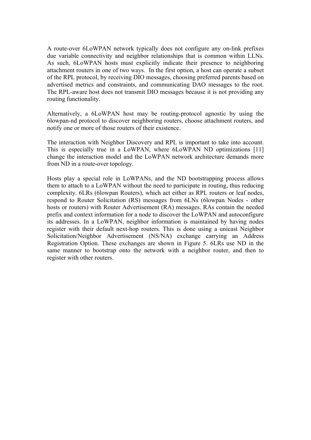A route-over 6LoWPAN network typically does not configure any on-link prefixes due variable connectivity and neighbor relationships that is common within LLNs. As such, 6LoWPAN hosts must explicitly indicate their presence to neighboring attachment routers in one of two ways. In the first option, a host can operate a subset of the RPL protocol, by receiving DIO messages, choosing preferred parents based on advertised metrics and constraints, and communicating DAO messages to the root. The RPL-aware host does not transmit DIO messages because it is not providing any routing functionality.

Alternatively, a 6LoWPAN host may be routing-protocol agnostic by using the 6lowpan-nd protocol to discover neighboring routers, choose attachment routers, and notify one or more of those routers of their existence.

The interaction with Neighbor Discovery and RPL is important to take into account. This is especially true in a LoWPAN, where 6LoWPAN ND optimizations [11] change the interaction model and the LoWPAN network architecture demands more from ND in a route-over topology.

Hosts play a special role in LoWPANs, and the ND bootstrapping process allows them to attach to a LoWPAN without the need to participate in routing, thus reducing complexity. 6LRs (6lowpan Routers), which act either as RPL routers or leaf nodes, respond to Router Solicitation (RS) messages from 6LNs (6lowpan Nodes - other hosts or routers) with Router Advertisement (RA) messages. RAs contain the needed prefix and context information for a node to discover the LoWPAN and autoconfigure its addresses. In a LoWPAN, neighbor information is maintained by having nodes register with their default next-hop routers. This is done using a unicast Neighbor Solicitation/Neighbor Advertisement (NS/NA) exchange carrying an Address Registration Option. These exchanges are shown in Figure 5. 6LRs use ND in the same manner to bootstrap onto the network with a neighbor router, and then to register with other routers.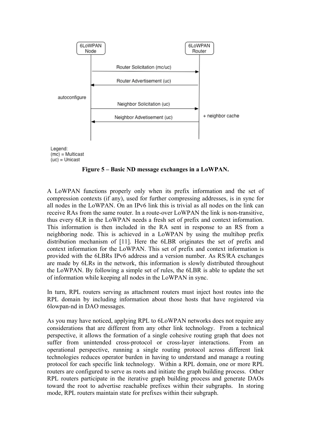

**Figure 5 – Basic ND message exchanges in a LoWPAN.**

A LoWPAN functions properly only when its prefix information and the set of compression contexts (if any), used for further compressing addresses, is in sync for all nodes in the LoWPAN. On an IPv6 link this is trivial as all nodes on the link can receive RAs from the same router. In a route-over LoWPAN the link is non-transitive, thus every 6LR in the LoWPAN needs a fresh set of prefix and context information. This information is then included in the RA sent in response to an RS from a neighboring node. This is achieved in a LoWPAN by using the multihop prefix distribution mechanism of [11]. Here the 6LBR originates the set of prefix and context information for the LoWPAN. This set of prefix and context information is provided with the 6LBRs IPv6 address and a version number. As RS/RA exchanges are made by 6LRs in the network, this information is slowly distributed throughout the LoWPAN. By following a simple set of rules, the 6LBR is able to update the set of information while keeping all nodes in the LoWPAN in sync.

In turn, RPL routers serving as attachment routers must inject host routes into the RPL domain by including information about those hosts that have registered via 6lowpan-nd in DAO messages.

As you may have noticed, applying RPL to 6LoWPAN networks does not require any considerations that are different from any other link technology. From a technical perspective, it allows the formation of a single cohesive routing graph that does not suffer from unintended cross-protocol or cross-layer interactions. From an operational perspective, running a single routing protocol across different link technologies reduces operator burden in having to understand and manage a routing protocol for each specific link technology. Within a RPL domain, one or more RPL routers are configured to serve as roots and initiate the graph building process. Other RPL routers participate in the iterative graph building process and generate DAOs toward the root to advertise reachable prefixes within their subgraphs. In storing mode, RPL routers maintain state for prefixes within their subgraph.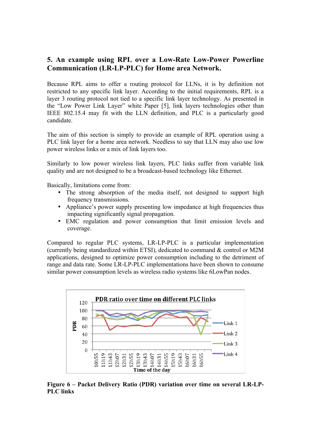# **5. An example using RPL over a Low-Rate Low-Power Powerline Communication (LR-LP-PLC) for Home area Network.**

Because RPL aims to offer a routing protocol for LLNs, it is by definition not restricted to any specific link layer. According to the initial requirements, RPL is a layer 3 routing protocol not tied to a specific link layer technology. As presented in the "Low Power Link Layer" white Paper [5], link layers technologies other than IEEE 802.15.4 may fit with the LLN definition, and PLC is a particularly good candidate.

The aim of this section is simply to provide an example of RPL operation using a PLC link layer for a home area network. Needless to say that LLN may also use low power wireless links or a mix of link layers too.

Similarly to low power wireless link layers, PLC links suffer from variable link quality and are not designed to be a broadcast-based technology like Ethernet.

Basically, limitations come from:

- The strong absorption of the media itself, not designed to support high frequency transmissions.
- Appliance's power supply presenting low impedance at high frequencies thus impacting significantly signal propagation.
- EMC regulation and power consumption that limit emission levels and coverage.

Compared to regular PLC systems, LR-LP-PLC is a particular implementation (currently being standardized within ETSI), dedicated to command & control or M2M applications, designed to optimize power consumption including to the detriment of range and data rate. Some LR-LP-PLC implementations have been shown to consume similar power consumption levels as wireless radio systems like 6LowPan nodes.



**Figure 6 – Packet Delivery Ratio (PDR) variation over time on several LR-LP-PLC links**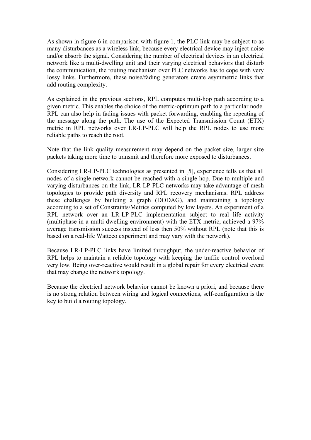As shown in figure 6 in comparison with figure 1, the PLC link may be subject to as many disturbances as a wireless link, because every electrical device may inject noise and/or absorb the signal. Considering the number of electrical devices in an electrical network like a multi-dwelling unit and their varying electrical behaviors that disturb the communication, the routing mechanism over PLC networks has to cope with very lossy links. Furthermore, these noise/fading generators create asymmetric links that add routing complexity.

As explained in the previous sections, RPL computes multi-hop path according to a given metric. This enables the choice of the metric-optimum path to a particular node. RPL can also help in fading issues with packet forwarding, enabling the repeating of the message along the path. The use of the Expected Transmission Count (ETX) metric in RPL networks over LR-LP-PLC will help the RPL nodes to use more reliable paths to reach the root.

Note that the link quality measurement may depend on the packet size, larger size packets taking more time to transmit and therefore more exposed to disturbances.

Considering LR-LP-PLC technologies as presented in [5], experience tells us that all nodes of a single network cannot be reached with a single hop. Due to multiple and varying disturbances on the link, LR-LP-PLC networks may take advantage of mesh topologies to provide path diversity and RPL recovery mechanisms. RPL address these challenges by building a graph (DODAG), and maintaining a topology according to a set of Constraints/Metrics computed by low layers. An experiment of a RPL network over an LR-LP-PLC implementation subject to real life activity (multiphase in a multi-dwelling environment) with the ETX metric, achieved a 97% average transmission success instead of less then 50% without RPL (note that this is based on a real-life Watteco experiment and may vary with the network).

Because LR-LP-PLC links have limited throughput, the under-reactive behavior of RPL helps to maintain a reliable topology with keeping the traffic control overload very low. Being over-reactive would result in a global repair for every electrical event that may change the network topology.

Because the electrical network behavior cannot be known a priori, and because there is no strong relation between wiring and logical connections, self-configuration is the key to build a routing topology.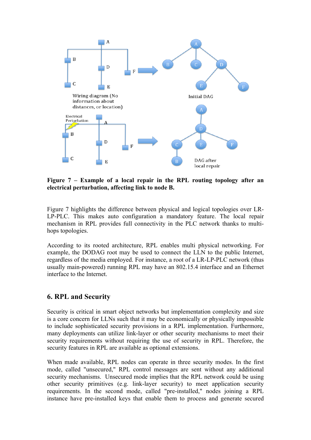

**Figure 7 – Example of a local repair in the RPL routing topology after an electrical perturbation, affecting link to node B.**

Figure 7 highlights the difference between physical and logical topologies over LR-LP-PLC. This makes auto configuration a mandatory feature. The local repair mechanism in RPL provides full connectivity in the PLC network thanks to multihops topologies.

According to its rooted architecture, RPL enables multi physical networking. For example, the DODAG root may be used to connect the LLN to the public Internet, regardless of the media employed. For instance, a root of a LR-LP-PLC network (thus usually main-powered) running RPL may have an 802.15.4 interface and an Ethernet interface to the Internet.

### **6. RPL and Security**

Security is critical in smart object networks but implementation complexity and size is a core concern for LLNs such that it may be economically or physically impossible to include sophisticated security provisions in a RPL implementation. Furthermore, many deployments can utilize link-layer or other security mechanisms to meet their security requirements without requiring the use of security in RPL. Therefore, the security features in RPL are available as optional extensions.

When made available, RPL nodes can operate in three security modes. In the first mode, called "unsecured," RPL control messages are sent without any additional security mechanisms. Unsecured mode implies that the RPL network could be using other security primitives (e.g. link-layer security) to meet application security requirements. In the second mode, called "pre-installed," nodes joining a RPL instance have pre-installed keys that enable them to process and generate secured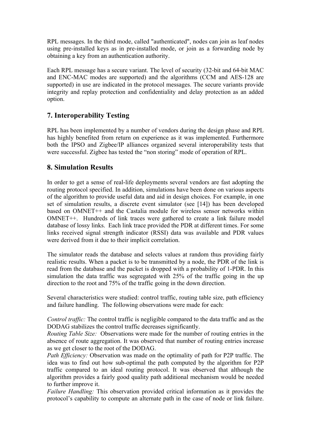RPL messages. In the third mode, called "authenticated", nodes can join as leaf nodes using pre-installed keys as in pre-installed mode, or join as a forwarding node by obtaining a key from an authentication authority.

Each RPL message has a secure variant. The level of security (32-bit and 64-bit MAC and ENC-MAC modes are supported) and the algorithms (CCM and AES-128 are supported) in use are indicated in the protocol messages. The secure variants provide integrity and replay protection and confidentiality and delay protection as an added option.

# **7. Interoperability Testing**

RPL has been implemented by a number of vendors during the design phase and RPL has highly benefited from return on experience as it was implemented. Furthermore both the IPSO and Zigbee/IP alliances organized several interoperability tests that were successful. Zigbee has tested the "non storing" mode of operation of RPL.

# **8. Simulation Results**

In order to get a sense of real-life deployments several vendors are fast adopting the routing protocol specified. In addition, simulations have been done on various aspects of the algorithm to provide useful data and aid in design choices. For example, in one set of simulation results, a discrete event simulator (see [14]) has been developed based on OMNET++ and the Castalia module for wireless sensor networks within OMNET++. Hundreds of link traces were gathered to create a link failure model database of lossy links. Each link trace provided the PDR at different times. For some links received signal strength indicator (RSSI) data was available and PDR values were derived from it due to their implicit correlation.

The simulator reads the database and selects values at random thus providing fairly realistic results. When a packet is to be transmitted by a node, the PDR of the link is read from the database and the packet is dropped with a probability of 1-PDR. In this simulation the data traffic was segregated with 25% of the traffic going in the up direction to the root and 75% of the traffic going in the down direction.

Several characteristics were studied: control traffic, routing table size, path efficiency and failure handling. The following observations were made for each:

*Control traffic:* The control traffic is negligible compared to the data traffic and as the DODAG stabilizes the control traffic decreases significantly.

*Routing Table Size:* Observations were made for the number of routing entries in the absence of route aggregation. It was observed that number of routing entries increase as we get closer to the root of the DODAG.

*Path Efficiency:* Observation was made on the optimality of path for P2P traffic. The idea was to find out how sub-optimal the path computed by the algorithm for P2P traffic compared to an ideal routing protocol. It was observed that although the algorithm provides a fairly good quality path additional mechanism would be needed to further improve it.

*Failure Handling:* This observation provided critical information as it provides the protocol's capability to compute an alternate path in the case of node or link failure.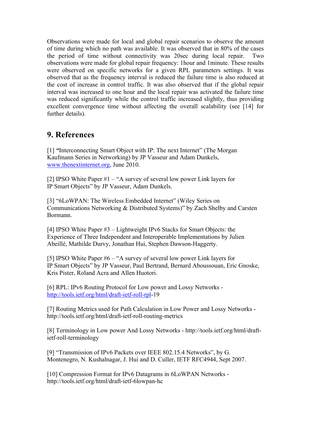Observations were made for local and global repair scenarios to observe the amount of time during which no path was available. It was observed that in 80% of the cases the period of time without connectivity was 20sec during local repair. Two observations were made for global repair frequency: 1hour and 1minute. These results were observed on specific networks for a given RPL parameters settings. It was observed that as the frequency interval is reduced the failure time is also reduced at the cost of increase in control traffic. It was also observed that if the global repair interval was increased to one hour and the local repair was activated the failure time was reduced significantly while the control traffic increased slightly, thus providing excellent convergence time without affecting the overall scalability (see [14] for further details).

# **9. References**

[1] *"*Interconnecting Smart Object with IP: The next Internet" (The Morgan Kaufmann Series in Networking) by JP Vasseur and Adam Dunkels, www.thenextinternet.org, June 2010.

[2] IPSO White Paper #1 – "A survey of several low power Link layers for IP Smart Objects" by JP Vasseur, Adam Dunkels.

[3] "6LoWPAN: The Wireless Embedded Internet" (Wiley Series on Communications Networking & Distributed Systems)" by Zach Shelby and Carsten Bormann.

[4] IPSO White Paper #3 – Lightweight IPv6 Stacks for Smart Objects: the Experience of Three Independent and Interoperable Implementations by Julien Abeillé, Mathilde Durvy, Jonathan Hui, Stephen Dawson-Haggerty.

[5] IPSO White Paper #6 – "A survey of several low power Link layers for IP Smart Objects" by JP Vasseur, Paul Bertrand, Bernard Aboussouan, Eric Gnoske, Kris Pister, Roland Acra and Allen Huotori.

[6] RPL: IPv6 Routing Protocol for Low power and Lossy Networks http://tools.ietf.org/html/draft-ietf-roll-rpl-19

[7] Routing Metrics used for Path Calculation in Low Power and Lossy Networks http://tools.ietf.org/html/draft-ietf-roll-routing-metrics

[8] Terminology in Low power And Lossy Networks - http://tools.ietf.org/html/draftietf-roll-terminology

[9] "Transmission of IPv6 Packets over IEEE 802.15.4 Networks", by G. Montenegro, N. Kushalnagar, J. Hui and D. Culler, IETF RFC4944, Sept 2007.

[10] Compression Format for IPv6 Datagrams in 6LoWPAN Networks http://tools.ietf.org/html/draft-ietf-6lowpan-hc